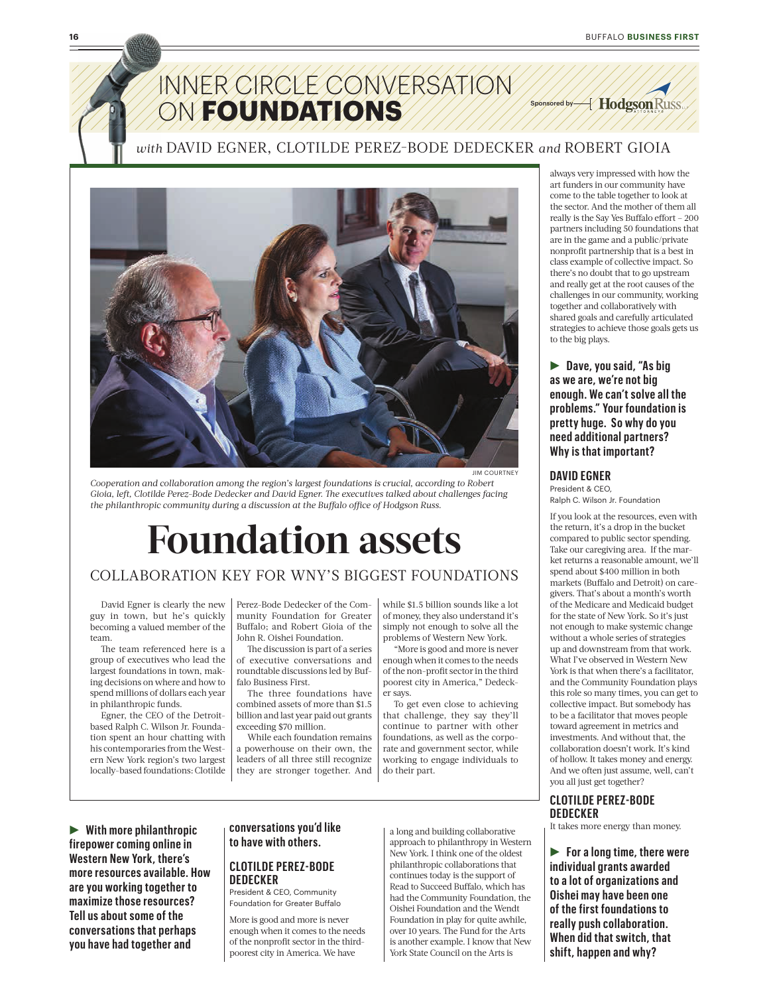

### *with* DAVID EGNER, CLOTILDE PEREZ!BODE DEDECKER *and* ROBERT GIOIA



**JIM COURTNEY** 

*Cooperation and collaboration among the region's largest foundations is crucial, according to Robert*  Gioia, left, Clotilde Perez-Bode Dedecker and David Egner. The executives talked about challenges facing *the philanthropic community during a discussion at the Buffalo office of Hodgson Russ.* 

# **Foundation assets**

### COLLABORATION KEY FOR WNY'S BIGGEST FOUNDATIONS

David Egner is clearly the new guy in town, but he's quickly becoming a valued member of the team.

The team referenced here is a group of executives who lead the largest foundations in town, making decisions on where and how to spend millions of dollars each year in philanthropic funds.

Egner, the CEO of the Detroitbased Ralph C. Wilson Jr. Foundation spent an hour chatting with his contemporaries from the Western New York region's two largest locally-based foundations: Clotilde Perez-Bode Dedecker of the Community Foundation for Greater Buffalo; and Robert Gioia of the John R. Oishei Foundation.

The discussion is part of a series of executive conversations and roundtable discussions led by Buffalo Business First.

The three foundations have combined assets of more than \$1.5 billion and last year paid out grants exceeding \$70 million.

While each foundation remains a powerhouse on their own, the leaders of all three still recognize they are stronger together. And while \$1.5 billion sounds like a lot of money, they also understand it's simply not enough to solve all the problems of Western New York.

"More is good and more is never enough when it comes to the needs of the non-profit sector in the third poorest city in America," Dedecker says.

To get even close to achieving that challenge, they say they'll continue to partner with other foundations, as well as the corporate and government sector, while working to engage individuals to do their part.

always very impressed with how the art funders in our community have come to the table together to look at the sector. And the mother of them all really is the Say Yes Buffalo effort – 200 partners including 50 foundations that are in the game and a public/private nonprofit partnership that is a best in class example of collective impact. So there's no doubt that to go upstream and really get at the root causes of the challenges in our community, working together and collaboratively with shared goals and carefully articulated strategies to achieve those goals gets us to the big plays.

R **Dave, you said, "As big as we are, we're not big enough. We can't solve all the problems." Your foundation is pretty huge. So why do you need additional partners? Why is that important?**

#### **DAVID EGNER**

President & CEO, Ralph C. Wilson Jr. Foundation

If you look at the resources, even with the return, it's a drop in the bucket compared to public sector spending. Take our caregiving area. If the market returns a reasonable amount, we'll spend about \$400 million in both markets (Buffalo and Detroit) on caregivers. That's about a month's worth of the Medicare and Medicaid budget for the state of New York. So it's just not enough to make systemic change without a whole series of strategies up and downstream from that work. What I've observed in Western New York is that when there's a facilitator, and the Community Foundation plays this role so many times, you can get to collective impact. But somebody has to be a facilitator that moves people toward agreement in metrics and investments. And without that, the collaboration doesn't work. It's kind of hollow. It takes money and energy. And we often just assume, well, can't you all just get together?

#### **CLOTILDE PEREZ-BODE DEDECKER**

It takes more energy than money.

**For a long time, there were individual grants awarded to a lot of organizations and Oishei may have been one of the first foundations to really push collaboration. When did that switch, that shift, happen and why?**

#### R **With more philanthropic firepower coming online in Western New York, there's more resources available. How are you working together to maximize those resources? Tell us about some of the conversations that perhaps you have had together and**

### **conversations you'd like to have with others.**

#### **CLOTILDE PEREZ-BODE DEDECKER**

President & CEO, Community Foundation for Greater Buffalo

More is good and more is never enough when it comes to the needs of the nonprofit sector in the thirdpoorest city in America. We have

a long and building collaborative approach to philanthropy in Western New York. I think one of the oldest philanthropic collaborations that continues today is the support of Read to Succeed Buffalo, which has had the Community Foundation, the Oishei Foundation and the Wendt Foundation in play for quite awhile, over 10 years. The Fund for the Arts is another example. I know that New York State Council on the Arts is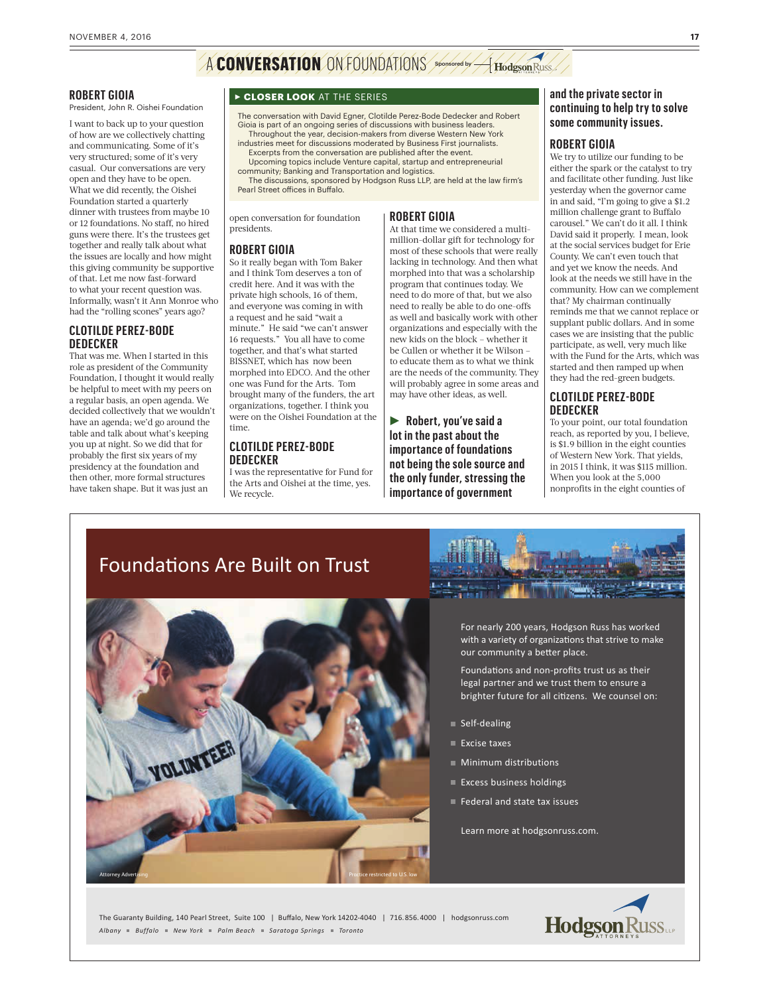# A **CONVERSATION** ON FOUNDATIONS Sponsored by A Hodgson Russ

#### **ROBERT GIOIA**

President, John R. Oishei Foundation

I want to back up to your question of how are we collectively chatting and communicating. Some of it's very structured; some of it's very casual. Our conversations are very open and they have to be open. What we did recently, the Oishei Foundation started a quarterly dinner with trustees from maybe 10 or 12 foundations. No staff, no hired guns were there. It's the trustees get together and really talk about what the issues are locally and how might this giving community be supportive of that. Let me now fast-forward to what your recent question was. Informally, wasn't it Ann Monroe who had the "rolling scones" years ago?

#### **CLOTILDE PEREZ-BODE DEDECKER**

That was me. When I started in this role as president of the Community Foundation, I thought it would really be helpful to meet with my peers on a regular basis, an open agenda. We decided collectively that we wouldn't have an agenda; we'd go around the table and talk about what's keeping you up at night. So we did that for probably the first six years of my presidency at the foundation and then other, more formal structures have taken shape. But it was just an

#### <sup>R</sup>**CLOSER LOOK** AT THE SERIES

The conversation with David Egner, Clotilde Perez-Bode Dedecker and Robert Gioia is part of an ongoing series of discussions with business leaders. Throughout the year, decision-makers from diverse Western New York industries meet for discussions moderated by Business First journalists.

Excerpts from the conversation are published after the event. Upcoming topics include Venture capital, startup and entrepreneurial

community; Banking and Transportation and logistics. The discussions, sponsored by Hodgson Russ LLP, are held at the law firm's<br>Pearl Street offices in Buffalo.

> million-dollar gift for technology for most of these schools that were really lacking in technology. And then what morphed into that was a scholarship program that continues today. We need to do more of that, but we also need to really be able to do one-offs as well and basically work with other organizations and especially with the new kids on the block – whether it be Cullen or whether it be Wilson – to educate them as to what we think are the needs of the community. They will probably agree in some areas and may have other ideas, as well.

**Robert, you've said a lot in the past about the importance of foundations not being the sole source and the only funder, stressing the importance of government** 

open conversation for foundation **ROBERT GIOIA** At that time we considered a multi-

#### **ROBERT GIOIA**

presidents.

So it really began with Tom Baker and I think Tom deserves a ton of credit here. And it was with the private high schools, 16 of them, and everyone was coming in with a request and he said "wait a minute." He said "we can't answer 16 requests." You all have to come together, and that's what started BISSNET, which has now been morphed into EDCO. And the other one was Fund for the Arts. Tom brought many of the funders, the art organizations, together. I think you were on the Oishei Foundation at the time.

#### **CLOTILDE PEREZ-BODE DEDECKER**

I was the representative for Fund for the Arts and Oishei at the time, yes. We recycle.

**and the private sector in continuing to help try to solve some community issues.** 

#### **ROBERT GIOIA**

We try to utilize our funding to be either the spark or the catalyst to try and facilitate other funding. Just like yesterday when the governor came in and said, "I'm going to give a \$1.2 million challenge grant to Buffalo carousel." We can't do it all. I think David said it properly. I mean, look at the social services budget for Erie County. We can't even touch that and yet we know the needs. And look at the needs we still have in the community. How can we complement that? My chairman continually reminds me that we cannot replace or supplant public dollars. And in some cases we are insisting that the public participate, as well, very much like with the Fund for the Arts, which was started and then ramped up when they had the red-green budgets.

#### **CLOTILDE PEREZ-BODE DEDECKER**

To your point, our total foundation reach, as reported by you, I believe, is \$1.9 billion in the eight counties of Western New York. That yields, in 2015 I think, it was \$115 million. When you look at the 5,000 nonprofits in the eight counties of

### Foundations Are Built on Trust



For nearly 200 years, Hodgson Russ has worked with a variety of organizations that strive to make our community a better place.

Foundations and non-profits trust us as their legal partner and we trust them to ensure a brighter future for all citizens. We counsel on:

- Self-dealing
- Excise taxes
- Dia Minimum distributions
- Excess business holdings
- Federal and state tax issues

Learn more at hodgsonruss.com.

The Guaranty Building, 140 Pearl Street, Suite 100 | Buffalo, New York 14202-4040 | 716.856.4000 | hodgsonruss.com *Albany Buffalo New York Palm Beach Saratoga Springs Toronto*

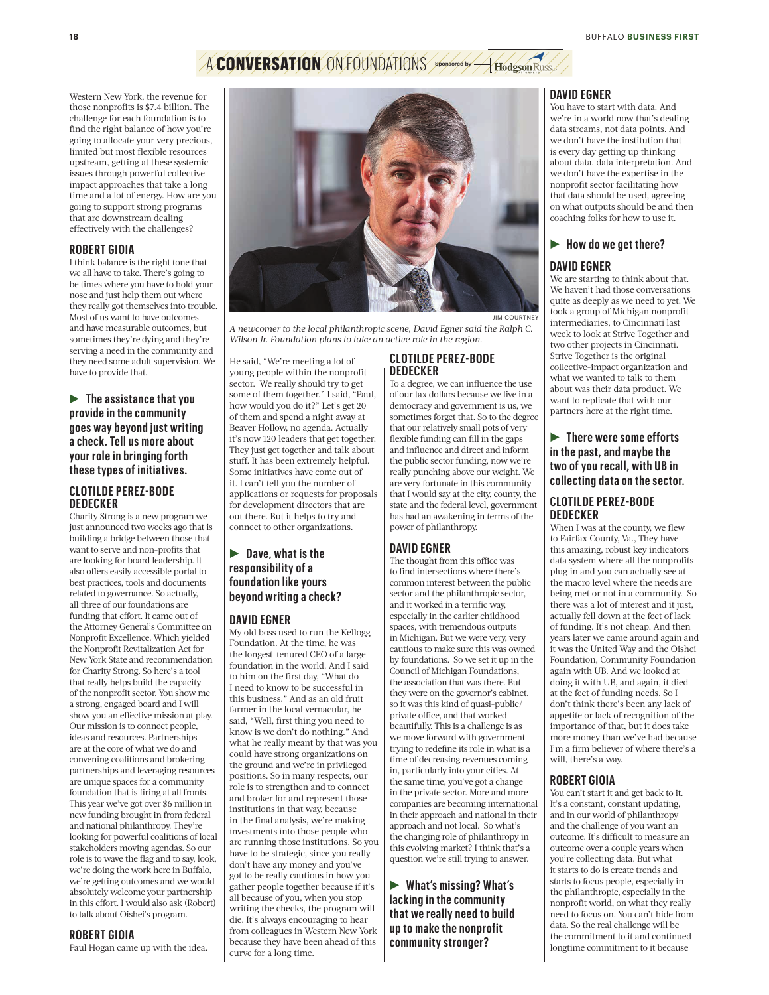# A **CONVERSATION** ON FOUNDATIONS Sponsored by A Hodgson Russ

Western New York, the revenue for those nonprofits is \$7.4 billion. The challenge for each foundation is to find the right balance of how you're going to allocate your very precious, limited but most flexible resources upstream, getting at these systemic issues through powerful collective impact approaches that take a long time and a lot of energy. How are you going to support strong programs that are downstream dealing effectively with the challenges?

#### **ROBERT GIOIA**

I think balance is the right tone that we all have to take. There's going to be times where you have to hold your nose and just help them out where they really got themselves into trouble. Most of us want to have outcomes and have measurable outcomes, but sometimes they're dying and they're serving a need in the community and they need some adult supervision. We have to provide that.

**Fig. 3** The assistance that you **provide in the community goes way beyond just writing a check. Tell us more about your role in bringing forth these types of initiatives.**

#### **CLOTILDE PEREZ-BODE DEDECKER**

Charity Strong is a new program we just announced two weeks ago that is building a bridge between those that want to serve and non-profits that are looking for board leadership. It also offers easily accessible portal to best practices, tools and documents related to governance. So actually, all three of our foundations are funding that effort. It came out of the Attorney General's Committee on Nonprofit Excellence. Which yielded the Nonprofit Revitalization Act for New York State and recommendation for Charity Strong. So here's a tool that really helps build the capacity of the nonprofit sector. You show me a strong, engaged board and I will show you an effective mission at play. Our mission is to connect people, ideas and resources. Partnerships are at the core of what we do and convening coalitions and brokering partnerships and leveraging resources are unique spaces for a community foundation that is firing at all fronts. This year we've got over \$6 million in new funding brought in from federal and national philanthropy. They're looking for powerful coalitions of local stakeholders moving agendas. So our role is to wave the flag and to say, look, we're doing the work here in Buffalo, we're getting outcomes and we would absolutely welcome your partnership in this effort. I would also ask (Robert) to talk about Oishei's program.

#### **ROBERT GIOIA**

Paul Hogan came up with the idea.



*A newcomer to the local philanthropic scene, David Egner said the Ralph C. Wilson Jr. Foundation plans to take an active role in the region.* 

He said, "We're meeting a lot of young people within the nonprofit sector. We really should try to get some of them together." I said, "Paul, how would you do it?" Let's get 20 of them and spend a night away at Beaver Hollow, no agenda. Actually it's now 120 leaders that get together. They just get together and talk about stuff. It has been extremely helpful. Some initiatives have come out of it. I can't tell you the number of applications or requests for proposals for development directors that are out there. But it helps to try and connect to other organizations.

#### **P** Dave, what is the **responsibility of a foundation like yours beyond writing a check?**

#### **DAVID EGNER**

My old boss used to run the Kellogg Foundation. At the time, he was the longest-tenured CEO of a large foundation in the world. And I said to him on the first day, "What do I need to know to be successful in this business." And as an old fruit farmer in the local vernacular, he said, "Well, first thing you need to know is we don't do nothing." And what he really meant by that was you could have strong organizations on the ground and we're in privileged positions. So in many respects, our role is to strengthen and to connect and broker for and represent those institutions in that way, because in the final analysis, we're making investments into those people who are running those institutions. So you have to be strategic, since you really don't have any money and you've got to be really cautious in how you gather people together because if it's all because of you, when you stop writing the checks, the program will die. It's always encouraging to hear from colleagues in Western New York because they have been ahead of this curve for a long time.

#### **CLOTILDE PEREZ-BODE DEDECKER**

To a degree, we can influence the use of our tax dollars because we live in a democracy and government is us, we sometimes forget that. So to the degree that our relatively small pots of very flexible funding can fill in the gaps and influence and direct and inform the public sector funding, now we're really punching above our weight. We are very fortunate in this community that I would say at the city, county, the state and the federal level, government has had an awakening in terms of the power of philanthropy.

#### **DAVID EGNER**

The thought from this office was to find intersections where there's common interest between the public sector and the philanthropic sector, and it worked in a terrific way, especially in the earlier childhood spaces, with tremendous outputs in Michigan. But we were very, very cautious to make sure this was owned by foundations. So we set it up in the Council of Michigan Foundations, the association that was there. But they were on the governor's cabinet, so it was this kind of quasi-public/ private office, and that worked beautifully. This is a challenge is as we move forward with government trying to redefine its role in what is a time of decreasing revenues coming in, particularly into your cities. At the same time, you've got a change in the private sector. More and more companies are becoming international in their approach and national in their approach and not local. So what's the changing role of philanthropy in this evolving market? I think that's a question we're still trying to answer.

**EXECUTE:** What's missing? What's **lacking in the community that we really need to build up to make the nonprofit community stronger?**

#### **DAVID EGNER**

You have to start with data. And we're in a world now that's dealing data streams, not data points. And we don't have the institution that is every day getting up thinking about data, data interpretation. And we don't have the expertise in the nonprofit sector facilitating how that data should be used, agreeing on what outputs should be and then coaching folks for how to use it.

### ▶ How do we get there?

#### **DAVID EGNER**

We are starting to think about that. We haven't had those conversations quite as deeply as we need to yet. We took a group of Michigan nonprofit intermediaries, to Cincinnati last week to look at Strive Together and two other projects in Cincinnati. Strive Together is the original collective-impact organization and what we wanted to talk to them about was their data product. We want to replicate that with our partners here at the right time.

**Figure 1** There were some efforts **in the past, and maybe the two of you recall, with UB in collecting data on the sector.**

#### **CLOTILDE PEREZ-BODE DEDECKER**

When I was at the county, we flew to Fairfax County, Va., They have this amazing, robust key indicators data system where all the nonprofits plug in and you can actually see at the macro level where the needs are being met or not in a community. So there was a lot of interest and it just, actually fell down at the feet of lack of funding. It's not cheap. And then years later we came around again and it was the United Way and the Oishei Foundation, Community Foundation again with UB. And we looked at doing it with UB, and again, it died at the feet of funding needs. So I don't think there's been any lack of appetite or lack of recognition of the importance of that, but it does take more money than we've had because I'm a firm believer of where there's a will, there's a way.

#### **ROBERT GIOIA**

You can't start it and get back to it. It's a constant, constant updating, and in our world of philanthropy and the challenge of you want an outcome. It's difficult to measure an outcome over a couple years when you're collecting data. But what it starts to do is create trends and starts to focus people, especially in the philanthropic, especially in the nonprofit world, on what they really need to focus on. You can't hide from data. So the real challenge will be the commitment to it and continued longtime commitment to it because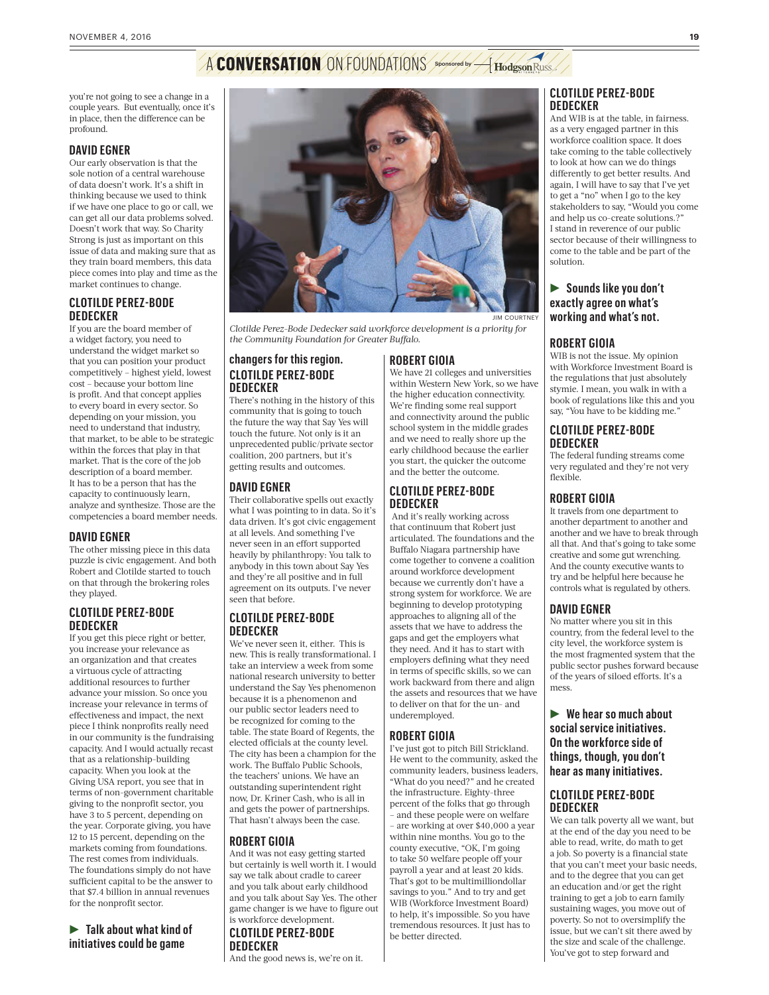# A **CONVERSATION** ON FOUNDATIONS Sponsored by A Hodgson Russ

you're not going to see a change in a couple years. But eventually, once it's in place, then the difference can be profound.

#### **DAVID EGNER**

Our early observation is that the sole notion of a central warehouse of data doesn't work. It's a shift in thinking because we used to think if we have one place to go or call, we can get all our data problems solved. Doesn't work that way. So Charity Strong is just as important on this issue of data and making sure that as they train board members, this data piece comes into play and time as the market continues to change.

#### **CLOTILDE PEREZ-BODE DEDECKER**

If you are the board member of a widget factory, you need to understand the widget market so that you can position your product competitively – highest yield, lowest cost – because your bottom line is profit. And that concept applies to every board in every sector. So depending on your mission, you need to understand that industry, that market, to be able to be strategic within the forces that play in that market. That is the core of the job description of a board member. It has to be a person that has the capacity to continuously learn, analyze and synthesize. Those are the competencies a board member needs.

#### **DAVID EGNER**

The other missing piece in this data puzzle is civic engagement. And both Robert and Clotilde started to touch on that through the brokering roles they played.

#### **CLOTILDE PEREZ-BODE DEDECKER**

If you get this piece right or better, you increase your relevance as an organization and that creates a virtuous cycle of attracting additional resources to further advance your mission. So once you increase your relevance in terms of effectiveness and impact, the next piece I think nonprofits really need in our community is the fundraising capacity. And I would actually recast that as a relationship-building capacity. When you look at the Giving USA report, you see that in terms of non-government charitable giving to the nonprofit sector, you have 3 to 5 percent, depending on the year. Corporate giving, you have 12 to 15 percent, depending on the markets coming from foundations. The rest comes from individuals. The foundations simply do not have sufficient capital to be the answer to that \$7.4 billion in annual revenues for the nonprofit sector.

**Falk about what kind of initiatives could be game** 



*Clotilde Perez-Bode Dedecker said workforce development is a priority for the Community Foundation for Greater Buffalo.* 

#### **changers for this region. CLOTILDE PEREZ-BODE DEDECKER**

There's nothing in the history of this community that is going to touch the future the way that Say Yes will touch the future. Not only is it an unprecedented public/private sector coalition, 200 partners, but it's getting results and outcomes.

#### **DAVID EGNER**

Their collaborative spells out exactly what I was pointing to in data. So it's data driven. It's got civic engagement at all levels. And something I've never seen in an effort supported heavily by philanthropy: You talk to anybody in this town about Say Yes and they're all positive and in full agreement on its outputs. I've never seen that before.

#### **CLOTILDE PEREZ-BODE DEDECKER**

We've never seen it, either. This is new. This is really transformational. I take an interview a week from some national research university to better understand the Say Yes phenomenon because it is a phenomenon and our public sector leaders need to be recognized for coming to the table. The state Board of Regents, the elected officials at the county level. The city has been a champion for the work. The Buffalo Public Schools, the teachers' unions. We have an outstanding superintendent right now, Dr. Kriner Cash, who is all in and gets the power of partnerships. That hasn't always been the case.

#### **ROBERT GIOIA**

And it was not easy getting started but certainly is well worth it. I would say we talk about cradle to career and you talk about early childhood and you talk about Say Yes. The other game changer is we have to figure out is workforce development. **CLOTILDE PEREZ-BODE DEDECKER**

And the good news is, we're on it.

#### **ROBERT GIOIA**

We have 21 colleges and universities within Western New York, so we have the higher education connectivity. We're finding some real support and connectivity around the public school system in the middle grades and we need to really shore up the early childhood because the earlier you start, the quicker the outcome and the better the outcome.

#### **CLOTILDE PEREZ-BODE DEDECKER**

 And it's really working across that continuum that Robert just articulated. The foundations and the Buffalo Niagara partnership have come together to convene a coalition around workforce development because we currently don't have a strong system for workforce. We are beginning to develop prototyping approaches to aligning all of the assets that we have to address the gaps and get the employers what they need. And it has to start with employers defining what they need in terms of specific skills, so we can work backward from there and align the assets and resources that we have to deliver on that for the un- and underemployed.

#### **ROBERT GIOIA**

I've just got to pitch Bill Strickland. He went to the community, asked the community leaders, business leaders, "What do you need?" and he created the infrastructure. Eighty-three percent of the folks that go through – and these people were on welfare – are working at over \$40,000 a year within nine months. You go to the county executive, "OK, I'm going to take 50 welfare people off your payroll a year and at least 20 kids. That's got to be multimilliondollar savings to you." And to try and get WIB (Workforce Investment Board) to help, it's impossible. So you have tremendous resources. It just has to be better directed.

#### **CLOTILDE PEREZ-BODE DEDECKER**

And WIB is at the table, in fairness. as a very engaged partner in this workforce coalition space. It does take coming to the table collectively to look at how can we do things differently to get better results. And again, I will have to say that I've yet to get a "no" when I go to the key stakeholders to say, "Would you come and help us co-create solutions.?" I stand in reverence of our public sector because of their willingness to come to the table and be part of the solution.

#### **Sounds like you don't exactly agree on what's working and what's not.**

#### **ROBERT GIOIA**

WIB is not the issue. My opinion with Workforce Investment Board is the regulations that just absolutely stymie. I mean, you walk in with a book of regulations like this and you say, "You have to be kidding me."

#### **CLOTILDE PEREZ-BODE DEDECKER**

The federal funding streams come very regulated and they're not very flexible.

#### **ROBERT GIOIA**

It travels from one department to another department to another and another and we have to break through all that. And that's going to take some creative and some gut wrenching. And the county executive wants to try and be helpful here because he controls what is regulated by others.

#### **DAVID EGNER**

No matter where you sit in this country, from the federal level to the city level, the workforce system is the most fragmented system that the public sector pushes forward because of the years of siloed efforts. It's a mess.

R **We hear so much about social service initiatives. On the workforce side of things, though, you don't hear as many initiatives.**

#### **CLOTILDE PEREZ-BODE DEDECKER**

We can talk poverty all we want, but at the end of the day you need to be able to read, write, do math to get a job. So poverty is a financial state that you can't meet your basic needs, and to the degree that you can get an education and/or get the right training to get a job to earn family sustaining wages, you move out of poverty. So not to oversimplify the issue, but we can't sit there awed by the size and scale of the challenge. You've got to step forward and